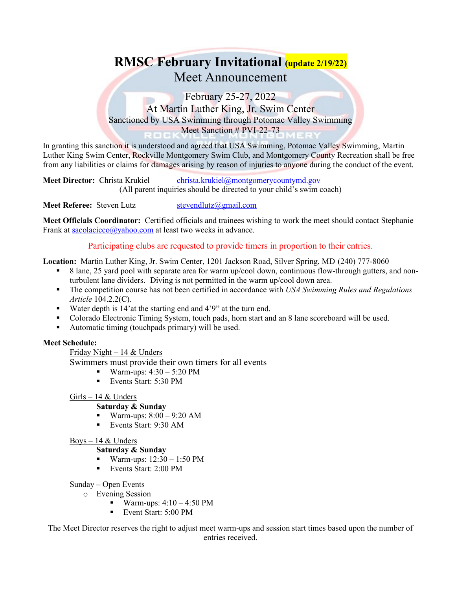# **RMSC February Invitational (update 2/19/22)** Meet Announcement

February 25-27, 2022 At Martin Luther King, Jr. Swim Center Sanctioned by USA Swimming through Potomac Valley Swimming Meet Sanction # PVI-22-73

In granting this sanction it is understood and agreed that USA Swimming, Potomac Valley Swimming, Martin Luther King Swim Center, Rockville Montgomery Swim Club, and Montgomery County Recreation shall be free from any liabilities or claims for damages arising by reason of injuries to anyone during the conduct of the event.

**Meet Director:** Christa Krukiel [christa.krukiel@montgomerycountymd.gov](mailto:christa.krukiel@montgomerycountymd.gov) (All parent inquiries should be directed to your child's swim coach)

**Meet Referee:** Steven Lutz [stevendlutz@gmail.com](mailto:stevendlutz@gmail.com)

**Meet Officials Coordinator:** Certified officials and trainees wishing to work the meet should contact Stephanie Frank at  $sacolaicco(a)$ yahoo.com at least two weeks in advance.

Participating clubs are requested to provide timers in proportion to their entries.

**Location:** Martin Luther King, Jr. Swim Center, 1201 Jackson Road, Silver Spring, MD (240) 777-8060

- 8 lane, 25 yard pool with separate area for warm up/cool down, continuous flow-through gutters, and nonturbulent lane dividers. Diving is not permitted in the warm up/cool down area.
- The competition course has not been certified in accordance with *USA Swimming Rules and Regulations Article* 104.2.2(C).
- Water depth is 14'at the starting end and 4'9" at the turn end.
- Colorado Electronic Timing System, touch pads, horn start and an 8 lane scoreboard will be used.
- Automatic timing (touchpads primary) will be used.

## **Meet Schedule:**

Friday Night –  $14 &$  Unders

Swimmers must provide their own timers for all events

- **Warm-ups:**  $4:30 5:20 \text{ PM}$
- Events Start: 5:30 PM

## Girls – 14 & Unders

## **Saturday & Sunday**

- Warm-ups:  $8:00 9:20$  AM
- Events Start: 9:30 AM

## Boys  $-14 &$  Unders

## **Saturday & Sunday**

- Warm-ups:  $12:30 1:50$  PM
- Events Start: 2:00 PM

## Sunday – Open Events

- o Evening Session
	- Warm-ups:  $4:10 4:50 \text{ PM}$
	- Event Start: 5:00 PM

The Meet Director reserves the right to adjust meet warm-ups and session start times based upon the number of entries received.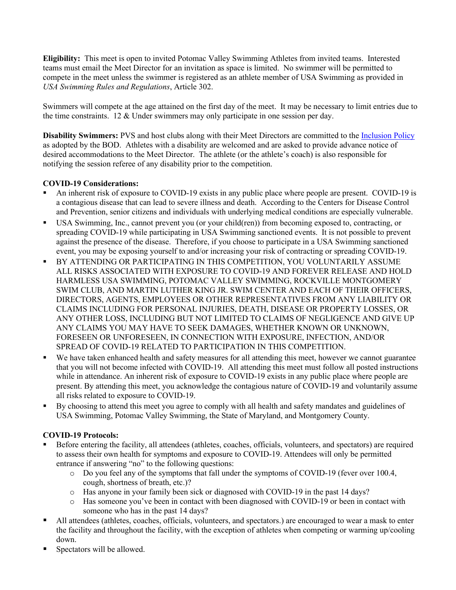**Eligibility:** This meet is open to invited Potomac Valley Swimming Athletes from invited teams. Interested teams must email the Meet Director for an invitation as space is limited. No swimmer will be permitted to compete in the meet unless the swimmer is registered as an athlete member of USA Swimming as provided in *USA Swimming Rules and Regulations*, Article 302.

Swimmers will compete at the age attained on the first day of the meet. It may be necessary to limit entries due to the time constraints. 12 & Under swimmers may only participate in one session per day.

**Disability Swimmers:** PVS and host clubs along with their Meet Directors are committed to the [Inclusion Policy](http://www.pvswim.org/disability/inclusion_policy.html) as adopted by the BOD. Athletes with a disability are welcomed and are asked to provide advance notice of desired accommodations to the Meet Director. The athlete (or the athlete's coach) is also responsible for notifying the session referee of any disability prior to the competition.

## **COVID-19 Considerations:**

- An inherent risk of exposure to COVID-19 exists in any public place where people are present. COVID-19 is a contagious disease that can lead to severe illness and death. According to the Centers for Disease Control and Prevention, senior citizens and individuals with underlying medical conditions are especially vulnerable.
- USA Swimming, Inc., cannot prevent you (or your child(ren)) from becoming exposed to, contracting, or spreading COVID-19 while participating in USA Swimming sanctioned events. It is not possible to prevent against the presence of the disease. Therefore, if you choose to participate in a USA Swimming sanctioned event, you may be exposing yourself to and/or increasing your risk of contracting or spreading COVID-19.
- BY ATTENDING OR PARTICIPATING IN THIS COMPETITION, YOU VOLUNTARILY ASSUME ALL RISKS ASSOCIATED WITH EXPOSURE TO COVID-19 AND FOREVER RELEASE AND HOLD HARMLESS USA SWIMMING, POTOMAC VALLEY SWIMMING, ROCKVILLE MONTGOMERY SWIM CLUB, AND MARTIN LUTHER KING JR. SWIM CENTER AND EACH OF THEIR OFFICERS, DIRECTORS, AGENTS, EMPLOYEES OR OTHER REPRESENTATIVES FROM ANY LIABILITY OR CLAIMS INCLUDING FOR PERSONAL INJURIES, DEATH, DISEASE OR PROPERTY LOSSES, OR ANY OTHER LOSS, INCLUDING BUT NOT LIMITED TO CLAIMS OF NEGLIGENCE AND GIVE UP ANY CLAIMS YOU MAY HAVE TO SEEK DAMAGES, WHETHER KNOWN OR UNKNOWN, FORESEEN OR UNFORESEEN, IN CONNECTION WITH EXPOSURE, INFECTION, AND/OR SPREAD OF COVID-19 RELATED TO PARTICIPATION IN THIS COMPETITION.
- We have taken enhanced health and safety measures for all attending this meet, however we cannot guarantee that you will not become infected with COVID-19. All attending this meet must follow all posted instructions while in attendance. An inherent risk of exposure to COVID-19 exists in any public place where people are present. By attending this meet, you acknowledge the contagious nature of COVID-19 and voluntarily assume all risks related to exposure to COVID-19.
- By choosing to attend this meet you agree to comply with all health and safety mandates and guidelines of USA Swimming, Potomac Valley Swimming, the State of Maryland, and Montgomery County.

## **COVID-19 Protocols:**

- Before entering the facility, all attendees (athletes, coaches, officials, volunteers, and spectators) are required to assess their own health for symptoms and exposure to COVID-19. Attendees will only be permitted entrance if answering "no" to the following questions:
	- o Do you feel any of the symptoms that fall under the symptoms of COVID-19 (fever over 100.4, cough, shortness of breath, etc.)?
	- o Has anyone in your family been sick or diagnosed with COVID-19 in the past 14 days?
	- Has someone you've been in contact with been diagnosed with COVID-19 or been in contact with someone who has in the past 14 days?
- All attendees (athletes, coaches, officials, volunteers, and spectators.) are encouraged to wear a mask to enter the facility and throughout the facility, with the exception of athletes when competing or warming up/cooling down.
- Spectators will be allowed.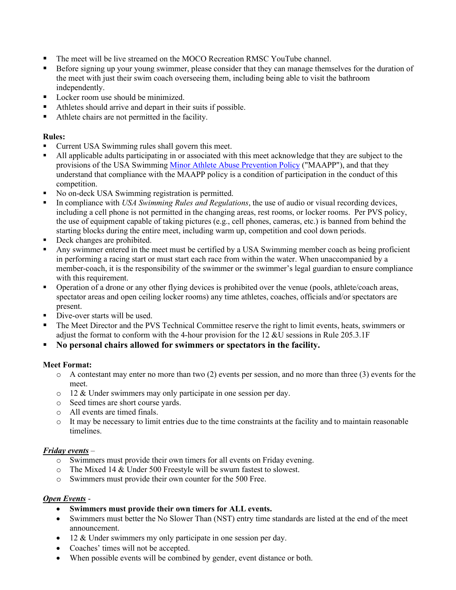- The meet will be live streamed on the MOCO Recreation RMSC YouTube channel.
- Before signing up your young swimmer, please consider that they can manage themselves for the duration of the meet with just their swim coach overseeing them, including being able to visit the bathroom independently.
- Locker room use should be minimized.
- Athletes should arrive and depart in their suits if possible.
- Athlete chairs are not permitted in the facility.

## **Rules:**

- Current USA Swimming rules shall govern this meet.
- All applicable adults participating in or associated with this meet acknowledge that they are subject to the provisions of the USA Swimming [Minor Athlete Abuse Prevention Policy](https://www.usaswimming.org/safe-sport/minor-athlete-abuse-prevention-policy) ("MAAPP"), and that they understand that compliance with the MAAPP policy is a condition of participation in the conduct of this competition.
- No on-deck USA Swimming registration is permitted.
- In compliance with *USA Swimming Rules and Regulations*, the use of audio or visual recording devices, including a cell phone is not permitted in the changing areas, rest rooms, or locker rooms. Per PVS policy, the use of equipment capable of taking pictures (e.g., cell phones, cameras, etc.) is banned from behind the starting blocks during the entire meet, including warm up, competition and cool down periods.
- Deck changes are prohibited.
- Any swimmer entered in the meet must be certified by a USA Swimming member coach as being proficient in performing a racing start or must start each race from within the water. When unaccompanied by a member-coach, it is the responsibility of the swimmer or the swimmer's legal guardian to ensure compliance with this requirement.
- Operation of a drone or any other flying devices is prohibited over the venue (pools, athlete/coach areas, spectator areas and open ceiling locker rooms) any time athletes, coaches, officials and/or spectators are present.
- Dive-over starts will be used.
- The Meet Director and the PVS Technical Committee reserve the right to limit events, heats, swimmers or adjust the format to conform with the 4-hour provision for the 12 &U sessions in Rule 205.3.1F
- **No personal chairs allowed for swimmers or spectators in the facility.**

## **Meet Format:**

- $\circ$  A contestant may enter no more than two (2) events per session, and no more than three (3) events for the meet.
- o 12 & Under swimmers may only participate in one session per day.
- o Seed times are short course yards.
- o All events are timed finals.
- o It may be necessary to limit entries due to the time constraints at the facility and to maintain reasonable timelines.

## *Friday events* –

- o Swimmers must provide their own timers for all events on Friday evening.
- o The Mixed 14 & Under 500 Freestyle will be swum fastest to slowest.
- o Swimmers must provide their own counter for the 500 Free.

## *Open Events* -

- **Swimmers must provide their own timers for ALL events.**
- Swimmers must better the No Slower Than (NST) entry time standards are listed at the end of the meet announcement.
- 12 & Under swimmers my only participate in one session per day.
- Coaches' times will not be accepted.
- When possible events will be combined by gender, event distance or both.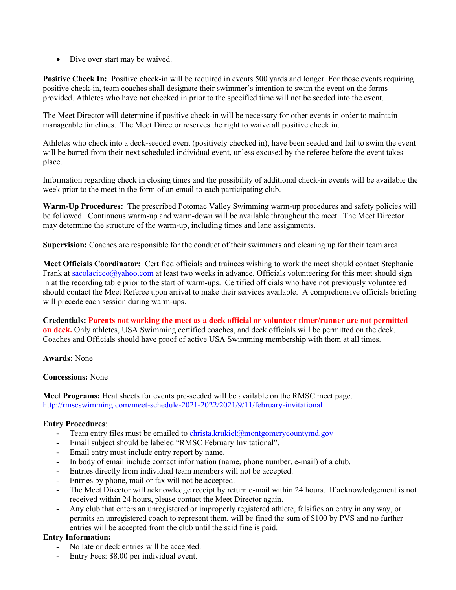• Dive over start may be waived.

**Positive Check In:** Positive check-in will be required in events 500 yards and longer. For those events requiring positive check-in, team coaches shall designate their swimmer's intention to swim the event on the forms provided. Athletes who have not checked in prior to the specified time will not be seeded into the event.

The Meet Director will determine if positive check-in will be necessary for other events in order to maintain manageable timelines. The Meet Director reserves the right to waive all positive check in.

Athletes who check into a deck-seeded event (positively checked in), have been seeded and fail to swim the event will be barred from their next scheduled individual event, unless excused by the referee before the event takes place.

Information regarding check in closing times and the possibility of additional check-in events will be available the week prior to the meet in the form of an email to each participating club.

**Warm-Up Procedures:** The prescribed Potomac Valley Swimming warm-up procedures and safety policies will be followed. Continuous warm-up and warm-down will be available throughout the meet. The Meet Director may determine the structure of the warm-up, including times and lane assignments.

**Supervision:** Coaches are responsible for the conduct of their swimmers and cleaning up for their team area.

**Meet Officials Coordinator:** Certified officials and trainees wishing to work the meet should contact Stephanie Frank a[t sacolacicco@yahoo.com](mailto:sacolacicco@yahoo.com) at least two weeks in advance. Officials volunteering for this meet should sign in at the recording table prior to the start of warm-ups. Certified officials who have not previously volunteered should contact the Meet Referee upon arrival to make their services available. A comprehensive officials briefing will precede each session during warm-ups.

**Credentials: Parents not working the meet as a deck official or volunteer timer/runner are not permitted on deck.** Only athletes, USA Swimming certified coaches, and deck officials will be permitted on the deck. Coaches and Officials should have proof of active USA Swimming membership with them at all times.

**Awards:** None

## **Concessions:** None

**Meet Programs:** Heat sheets for events pre-seeded will be available on the RMSC meet page. <http://rmscswimming.com/meet-schedule-2021-2022/2021/9/11/february-invitational>

## **Entry Procedures**:

- Team entry files must be emailed t[o christa.krukiel@montgomerycountymd.gov](mailto:christa.krukiel@montgomerycountymd.gov)
- Email subject should be labeled "RMSC February Invitational".
- Email entry must include entry report by name.
- In body of email include contact information (name, phone number, e-mail) of a club.
- Entries directly from individual team members will not be accepted.
- Entries by phone, mail or fax will not be accepted.
- The Meet Director will acknowledge receipt by return e-mail within 24 hours. If acknowledgement is not received within 24 hours, please contact the Meet Director again.
- Any club that enters an unregistered or improperly registered athlete, falsifies an entry in any way, or permits an unregistered coach to represent them, will be fined the sum of \$100 by PVS and no further entries will be accepted from the club until the said fine is paid.

## **Entry Information:**

- No late or deck entries will be accepted.
- Entry Fees: \$8.00 per individual event.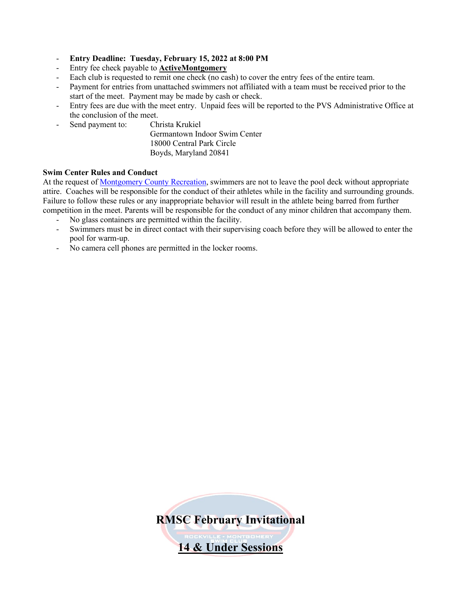- **Entry Deadline: Tuesday, February 15, 2022 at 8:00 PM**
- Entry fee check payable to **ActiveMontgomery**
- Each club is requested to remit one check (no cash) to cover the entry fees of the entire team.
- Payment for entries from unattached swimmers not affiliated with a team must be received prior to the start of the meet. Payment may be made by cash or check.
- Entry fees are due with the meet entry. Unpaid fees will be reported to the PVS Administrative Office at the conclusion of the meet.
- Send payment to: Christa Krukiel

Germantown Indoor Swim Center 18000 Central Park Circle Boyds, Maryland 20841

## **Swim Center Rules and Conduct**

At the request of [Montgomery County Recreation,](http://www.montgomerycountymd.gov/rectmpl.asp?url=/content/rec/aqua.asp) swimmers are not to leave the pool deck without appropriate attire. Coaches will be responsible for the conduct of their athletes while in the facility and surrounding grounds. Failure to follow these rules or any inappropriate behavior will result in the athlete being barred from further competition in the meet. Parents will be responsible for the conduct of any minor children that accompany them.

- No glass containers are permitted within the facility.
- Swimmers must be in direct contact with their supervising coach before they will be allowed to enter the pool for warm-up.
- No camera cell phones are permitted in the locker rooms.

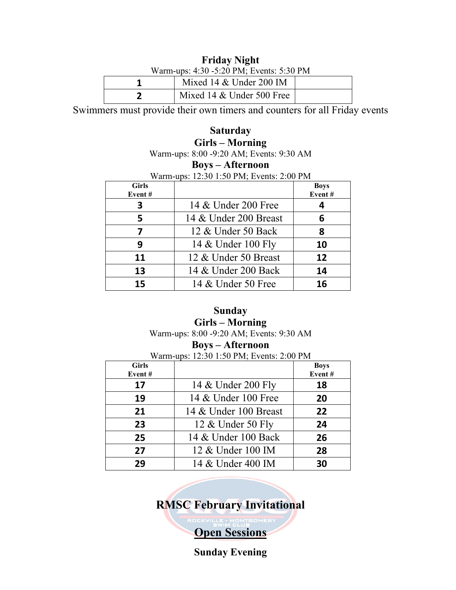# **Friday Night**

| Warm-ups: 4:30 -5:20 PM; Events: 5:30 PM |                           |  |  |  |
|------------------------------------------|---------------------------|--|--|--|
|                                          | Mixed 14 $&$ Under 200 IM |  |  |  |
|                                          | Mixed 14 & Under 500 Free |  |  |  |

Swimmers must provide their own timers and counters for all Friday events

# **Saturday Girls – Morning**

Warm-ups: 8:00 -9:20 AM; Events: 9:30 AM

# **Boys – Afternoon**

Warm-ups: 12:30 1:50 PM; Events: 2:00 PM

| <b>Girls</b><br>Event# |                       | <b>Boys</b><br>Event# |
|------------------------|-----------------------|-----------------------|
| 3                      | 14 & Under 200 Free   |                       |
| 5                      | 14 & Under 200 Breast | 6                     |
| 7                      | 12 & Under 50 Back    | 8                     |
| 9                      | 14 & Under 100 Fly    | 10                    |
| 11                     | 12 & Under 50 Breast  | 12                    |
| 13                     | 14 & Under 200 Back   | 14                    |
| 15                     | 14 & Under 50 Free    | 16                    |

# **Sunday Girls – Morning**

Warm-ups: 8:00 -9:20 AM; Events: 9:30 AM

## **Boys – Afternoon**

Warm-ups: 12:30 1:50 PM; Events: 2:00 PM

| <b>Girls</b><br>Event# |                       | <b>Boys</b><br>Event# |
|------------------------|-----------------------|-----------------------|
| 17                     | 14 & Under 200 Fly    | 18                    |
| 19                     | 14 & Under 100 Free   | 20                    |
| 21                     | 14 & Under 100 Breast | 22                    |
| 23                     | 12 & Under 50 Fly     | 24                    |
| 25                     | 14 & Under 100 Back   | 26                    |
| 27                     | 12 & Under 100 IM     | 28                    |
| 29                     | 14 & Under 400 IM     | 30                    |

**RMSC February Invitational**

**Open Sessions**

**Sunday Evening**